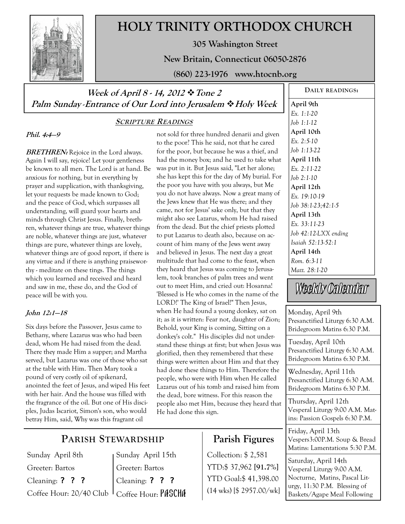

# **HOLY TRINITY ORTHODOX CHURCH**

**305 Washington Street** 

**New Britain, Connecticut 06050-2876** 

**(860) 223-1976 www.htocnb.org** 

## **Week of April 8 - 14, 2012 Tone 2 Palm Sunday** -**Entrance of Our Lord into Jerusalem Holy Week**

### **SCRIPTURE READINGS**

**Phil. 4:4—9** 

**BRETHREN:** Rejoice in the Lord always. Again I will say, rejoice! Let your gentleness be known to all men. The Lord is at hand. Be anxious for nothing, but in everything by prayer and supplication, with thanksgiving, let your requests be made known to God; and the peace of God, which surpasses all understanding, will guard your hearts and minds through Christ Jesus. Finally, brethren, whatever things are true, whatever things are noble, whatever things are just, whatever things are pure, whatever things are lovely, whatever things are of good report, if there is any virtue and if there is anything praiseworthy - meditate on these tings. The things which you learned and received and heard and saw in me, these do, and the God of peace will be with you.

### **John 12:1—18**

Six days before the Passover, Jesus came to Bethany, where Lazarus was who had been dead, whom He had raised from the dead. There they made Him a supper; and Martha served, but Lazarus was one of those who sat at the table with Him. Then Mary took a pound of very costly oil of spikenard, anointed the feet of Jesus, and wiped His feet with her hair. And the house was filled with the fragrance of the oil. But one of His disciples, Judas Iscariot, Simon's son, who would betray Him, said, Why was this fragrant oil

not sold for three hundred denarii and given to the poor? This he said, not that he cared for the poor, but because he was a thief, and had the money box; and he used to take what was put in it. But Jesus said, "Let her alone; she has kept this for the day of My burial. For the poor you have with you always, but Me you do not have always. Now a great many of the Jews knew that He was there; and they came, not for Jesus' sake only, but that they might also see Lazarus, whom He had raised from the dead. But the chief priests plotted to put Lazarus to death also, because on account of him many of the Jews went away and believed in Jesus. The next day a great multitude that had come to the feast, when they heard that Jesus was coming to Jerusalem, took branches of palm trees and went out to meet Him, and cried out: Hosanna! 'Blessed is He who comes in the name of the LORD!' The King of Israel!" Then Jesus, when He had found a young donkey, sat on it; as it is written: Fear not, daughter of Zion; Behold, your King is coming, Sitting on a donkey's colt." His disciples did not understand these things at first; but when Jesus was glorified, then they remembered that these things were written about Him and that they had done these things to Him. Therefore the people, who were with Him when He called Lazarus out of his tomb and raised him from the dead, bore witness. For this reason the people also met Him, because they heard that He had done this sign.

## **Parish Figures**

Collection: \$ 2,581 YTD:\$ 37,962 **[91.7%]** YTD Goal:\$ 41,398.00 (14 wks) [\$ 2957.00/wk]

**DAILY READINGS: April 9th**  *Ex. 1:1-20 Job 1:1-12*  **April 10th**  *Ex. 2:5-10 Job 1:13-22*  **April 11th**  *Ex. 2:11-22 Job 2:1-10*  **April 12th**  *Ex. 19:10-19 Job 38:1-23;42:1-5*  **April 13th**  *Ex. 33:11-23 Job 42:12-LXX ending Isaiah 52:13-52:1*  **April 14th**  *Rom. 6:3-11 Matt. 28:1-20*

Weekly Calendar

Monday, April 9th Presanctified Liturgy 6:30 A.M. Bridegroom Matins 6:30 P.M.

Tuesday, April 10th Presanctified Liturgy 6:30 A.M. Bridegroom Matins 6:30 P.M.

Wednesday, April 11th Presanctified Liturgy 6:30 A.M. Bridegroom Matins 6:30 P.M.

Thursday, April 12th Vesperal Liturgy 9:00 A.M. Matins: Passion Gospels 6:30 P.M.

Friday, April 13th Vespers3:00P.M. Soup & Bread Matins: Lamentations 5:30 P.M.

Saturday, April 14th Vesperal Liturgy 9:00 A.M. Nocturne, Matins, Pascal Liturgy, 11:30 P.M. Blessing of Baskets/Agape Meal Following

# **PARISH STEWARDSHIP**

Sunday April 8th Greeter: Bartos Cleaning: ? ? ? Coffee Hour: 20/40 Club

Sunday April 15th Greeter: Bartos Cleaning: ? ? ? Coffee Hour: PASCHA